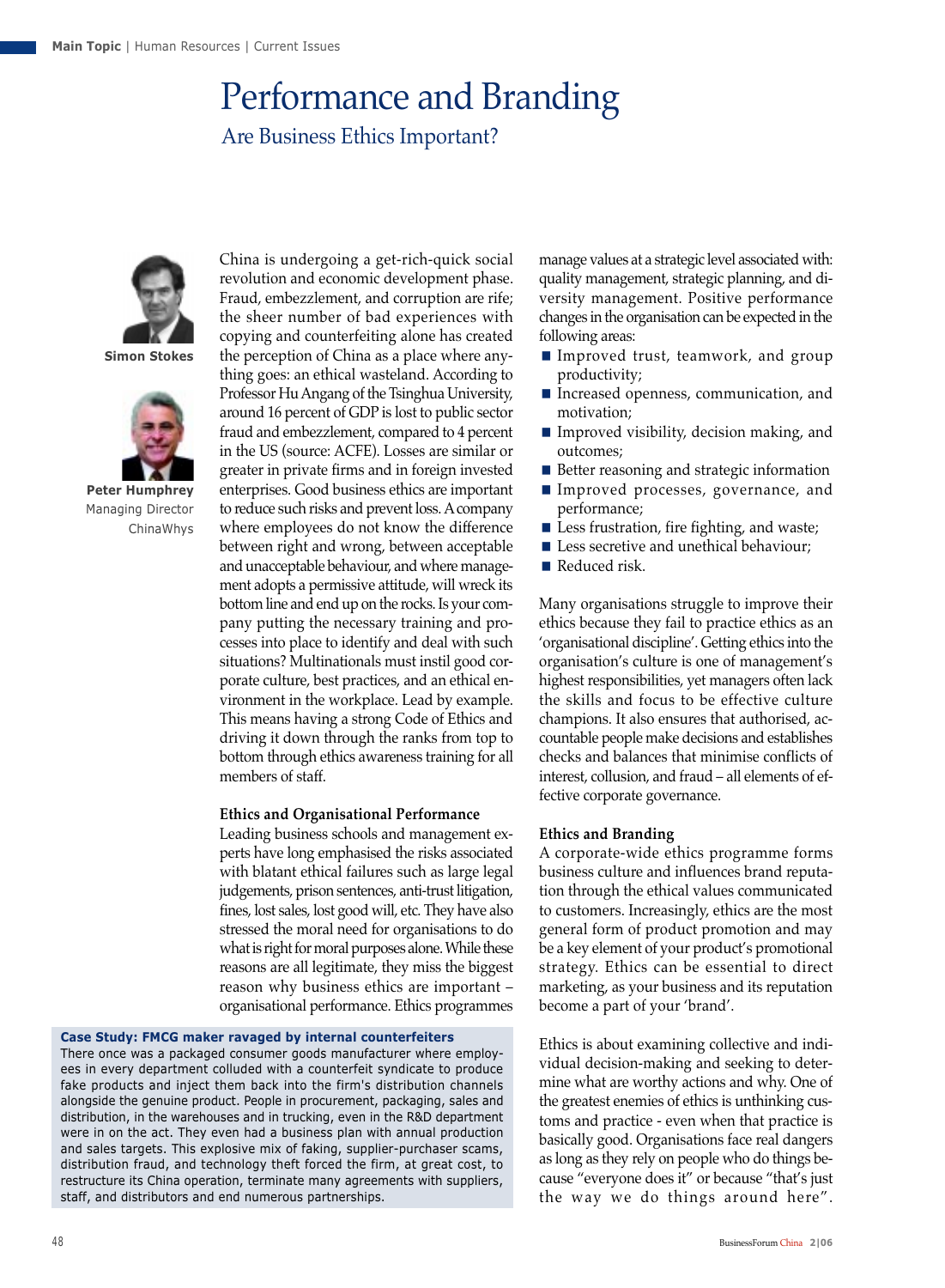# Performance and Branding Are Business Ethics Important?



**Simon Stokes**



**Peter Humphrey** Managing Director ChinaWhys

China is undergoing a get-rich-quick social revolution and economic development phase. Fraud, embezzlement, and corruption are rife; the sheer number of bad experiences with copying and counterfeiting alone has created the perception of China as a place where anything goes: an ethical wasteland. According to Professor Hu Angang of the Tsinghua University, around 16 percent of GDP is lost to public sector fraud and embezzlement, compared to 4 percent in the US (source: ACFE). Losses are similar or greater in private firms and in foreign invested enterprises. Good business ethics are important to reduce such risks and prevent loss. A company where employees do not know the difference between right and wrong, between acceptable and unacceptable behaviour, and where management adopts a permissive attitude, will wreck its bottom line and end up on the rocks. Is your company putting the necessary training and processes into place to identify and deal with such situations? Multinationals must instil good corporate culture, best practices, and an ethical environment in the workplace. Lead by example. This means having a strong Code of Ethics and driving it down through the ranks from top to bottom through ethics awareness training for all members of staff.

# **Ethics and Organisational Performance**

Leading business schools and management experts have long emphasised the risks associated with blatant ethical failures such as large legal judgements, prison sentences, anti-trust litigation, fines, lost sales, lost good will, etc. They have also stressed the moral need for organisations to do what is right for moral purposes alone. While these reasons are all legitimate, they miss the biggest reason why business ethics are important – organisational performance. Ethics programmes

### **Case Study: FMCG maker ravaged by internal counterfeiters**

There once was a packaged consumer goods manufacturer where employees in every department colluded with a counterfeit syndicate to produce fake products and inject them back into the firm's distribution channels alongside the genuine product. People in procurement, packaging, sales and distribution, in the warehouses and in trucking, even in the R&D department were in on the act. They even had a business plan with annual production and sales targets. This explosive mix of faking, supplier-purchaser scams, distribution fraud, and technology theft forced the firm, at great cost, to restructure its China operation, terminate many agreements with suppliers, staff, and distributors and end numerous partnerships.

manage values at a strategic level associated with: quality management, strategic planning, and diversity management. Positive performance changes in the organisation can be expected in the following areas:

- Improved trust, teamwork, and group productivity;
- Increased openness, communication, and motivation;
- $\blacksquare$  Improved visibility, decision making, and outcomes;
- Better reasoning and strategic information
- Improved processes, governance, and performance;
- $\blacksquare$  Less frustration, fire fighting, and waste;
- Less secretive and unethical behaviour;
- Reduced risk.

Many organisations struggle to improve their ethics because they fail to practice ethics as an 'organisational discipline'. Getting ethics into the organisation's culture is one of management's highest responsibilities, yet managers often lack the skills and focus to be effective culture champions. It also ensures that authorised, accountable people make decisions and establishes checks and balances that minimise conflicts of interest, collusion, and fraud – all elements of effective corporate governance.

# **Ethics and Branding**

A corporate-wide ethics programme forms business culture and influences brand reputation through the ethical values communicated to customers. Increasingly, ethics are the most general form of product promotion and may be a key element of your product's promotional strategy. Ethics can be essential to direct marketing, as your business and its reputation become a part of your 'brand'.

Ethics is about examining collective and individual decision-making and seeking to determine what are worthy actions and why. One of the greatest enemies of ethics is unthinking customs and practice - even when that practice is basically good. Organisations face real dangers as long as they rely on people who do things because "everyone does it" or because "that's just the way we do things around here".